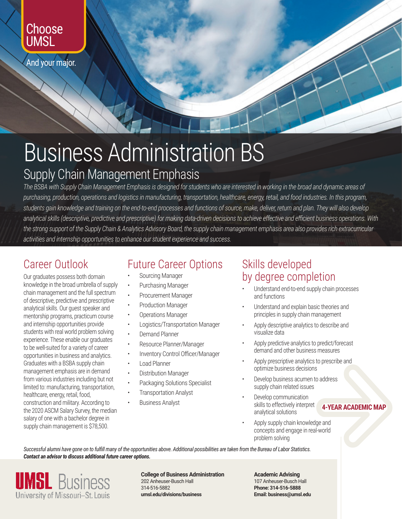## Choose **UMSL**

And your major.

## Business Administration BS

## Supply Chain Management Emphasis

*The BSBA with Supply Chain Management Emphasis is designed for students who are interested in working in the broad and dynamic areas of purchasing, production, operations and logistics in manufacturing, transportation, healthcare, energy, retail, and food industries. In this program, students gain knowledge and training on the end-to-end processes and functions of source, make, deliver, return and plan. They will also develop analytical skills (descriptive, predictive and prescriptive) for making data-driven decisions to achieve effective and efficient business operations. With the strong support of the Supply Chain & Analytics Advisory Board, the supply chain management emphasis area also provides rich extracurricular activities and internship opportunities to enhance our student experience and success.*

## Career Outlook

Our graduates possess both domain knowledge in the broad umbrella of supply chain management and the full spectrum of descriptive, predictive and prescriptive analytical skills. Our guest speaker and mentorship programs, practicum course and internship opportunities provide students with real world problem solving experience. These enable our graduates to be well-suited for a variety of career opportunities in business and analytics. Graduates with a BSBA supply chain management emphasis are in demand from various industries including but not limited to: manufacturing, transportation, healthcare, energy, retail, food, construction and military. According to the 2020 ASCM Salary Survey, the median salary of one with a bachelor degree in supply chain management is \$78,500.

## Future Career Options

- Sourcing Manager
- Purchasing Manager
- Procurement Manager
- Production Manager
- Operations Manager
- Logistics/Transportation Manager
- Demand Planner
- Resource Planner/Manager
- Inventory Control Officer/Manager
- Load Planner
- Distribution Manager
- Packaging Solutions Specialist
- **Transportation Analyst**
- Business Analyst

#### Skills developed by degree completion

- Understand end-to-end supply chain processes and functions
- Understand and explain basic theories and principles in supply chain management
- Apply descriptive analytics to describe and visualize data
- Apply predictive analytics to predict/forecast demand and other business measures
- Apply prescriptive analytics to prescribe and optimize business decisions
- Develop business acumen to address supply chain related issues
- Develop communication skills to effectively interpret analytical solutions

**4-YEAR ACADEMIC MAP**<br>**4-YEAR ACADEMIC MAP**<br>world

• Apply supply chain knowledge and concepts and engage in real-world problem solving

*Successful alumni have gone on to fulfill many of the opportunities above. Additional possibilities are taken from the Bureau of Labor Statistics. Contact an advisor to discuss additional future career options.*



**College of Business Administration** 202 Anheuser-Busch Hall 314-516-5882 **umsl.edu/divisions/business**

**Academic Advising** 107 Anheuser-Busch Hall **Phone: 314-516-5888 Email: business@umsl.edu**